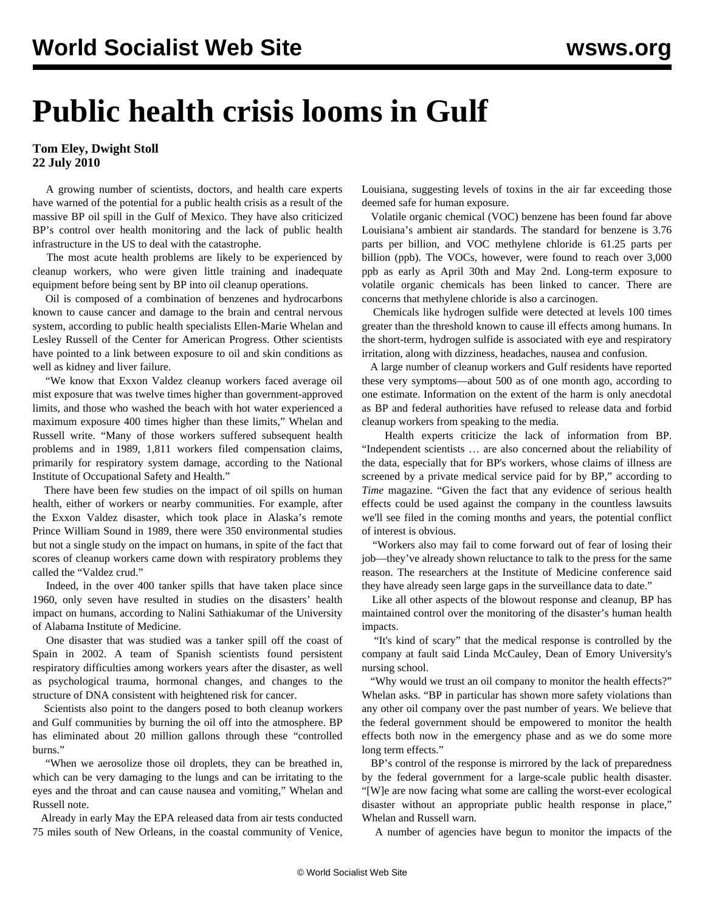## **Public health crisis looms in Gulf**

**Tom Eley, Dwight Stoll 22 July 2010**

 A growing number of scientists, doctors, and health care experts have warned of the potential for a public health crisis as a result of the massive BP oil spill in the Gulf of Mexico. They have also criticized BP's control over health monitoring and the lack of public health infrastructure in the US to deal with the catastrophe.

 The most acute health problems are likely to be experienced by cleanup workers, who were given little training and inadequate equipment before being sent by BP into oil cleanup operations.

 Oil is composed of a combination of benzenes and hydrocarbons known to cause cancer and damage to the brain and central nervous system, according to public health specialists Ellen-Marie Whelan and Lesley Russell of the Center for American Progress. Other scientists have pointed to a link between exposure to oil and skin conditions as well as kidney and liver failure.

 "We know that Exxon Valdez cleanup workers faced average oil mist exposure that was twelve times higher than government-approved limits, and those who washed the beach with hot water experienced a maximum exposure 400 times higher than these limits," Whelan and Russell write. "Many of those workers suffered subsequent health problems and in 1989, 1,811 workers filed compensation claims, primarily for respiratory system damage, according to the National Institute of Occupational Safety and Health."

 There have been few studies on the impact of oil spills on human health, either of workers or nearby communities. For example, after the Exxon Valdez disaster, which took place in Alaska's remote Prince William Sound in 1989, there were 350 environmental studies but not a single study on the impact on humans, in spite of the fact that scores of cleanup workers came down with respiratory problems they called the "Valdez crud."

 Indeed, in the over 400 tanker spills that have taken place since 1960, only seven have resulted in studies on the disasters' health impact on humans, according to Nalini Sathiakumar of the University of Alabama Institute of Medicine.

 One disaster that was studied was a tanker spill off the coast of Spain in 2002. A team of Spanish scientists found persistent respiratory difficulties among workers years after the disaster, as well as psychological trauma, hormonal changes, and changes to the structure of DNA consistent with heightened risk for cancer.

 Scientists also point to the dangers posed to both cleanup workers and Gulf communities by burning the oil off into the atmosphere. BP has eliminated about 20 million gallons through these "controlled burns."

 "When we aerosolize those oil droplets, they can be breathed in, which can be very damaging to the lungs and can be irritating to the eyes and the throat and can cause nausea and vomiting," Whelan and Russell note.

 Already in early May the EPA released data from air tests conducted 75 miles south of New Orleans, in the coastal community of Venice, Louisiana, suggesting levels of toxins in the air far exceeding those deemed safe for human exposure.

 Volatile organic chemical (VOC) benzene has been found far above Louisiana's ambient air standards. The standard for benzene is 3.76 parts per billion, and VOC methylene chloride is 61.25 parts per billion (ppb). The VOCs, however, were found to reach over 3,000 ppb as early as April 30th and May 2nd. Long-term exposure to volatile organic chemicals has been linked to cancer. There are concerns that methylene chloride is also a carcinogen.

 Chemicals like hydrogen sulfide were detected at levels 100 times greater than the threshold known to cause ill effects among humans. In the short-term, hydrogen sulfide is associated with eye and respiratory irritation, along with dizziness, headaches, nausea and confusion.

 A large number of cleanup workers and Gulf residents have reported these very symptoms—about 500 as of one month ago, according to one estimate. Information on the extent of the harm is only anecdotal as BP and federal authorities have refused to release data and forbid cleanup workers from speaking to the media.

 Health experts criticize the lack of information from BP. "Independent scientists … are also concerned about the reliability of the data, especially that for BP's workers, whose claims of illness are screened by a private medical service paid for by BP," according to *Time* magazine. "Given the fact that any evidence of serious health effects could be used against the company in the countless lawsuits we'll see filed in the coming months and years, the potential conflict of interest is obvious.

 "Workers also may fail to come forward out of fear of losing their job—they've already shown reluctance to talk to the press for the same reason. The researchers at the Institute of Medicine conference said they have already seen large gaps in the surveillance data to date."

 Like all other aspects of the blowout response and cleanup, BP has maintained control over the monitoring of the disaster's human health impacts.

 "It's kind of scary" that the medical response is controlled by the company at fault said Linda McCauley, Dean of Emory University's nursing school.

 "Why would we trust an oil company to monitor the health effects?" Whelan asks. "BP in particular has shown more safety violations than any other oil company over the past number of years. We believe that the federal government should be empowered to monitor the health effects both now in the emergency phase and as we do some more long term effects."

 BP's control of the response is mirrored by the lack of preparedness by the federal government for a large-scale public health disaster. "[W]e are now facing what some are calling the worst-ever ecological disaster without an appropriate public health response in place," Whelan and Russell warn.

A number of agencies have begun to monitor the impacts of the